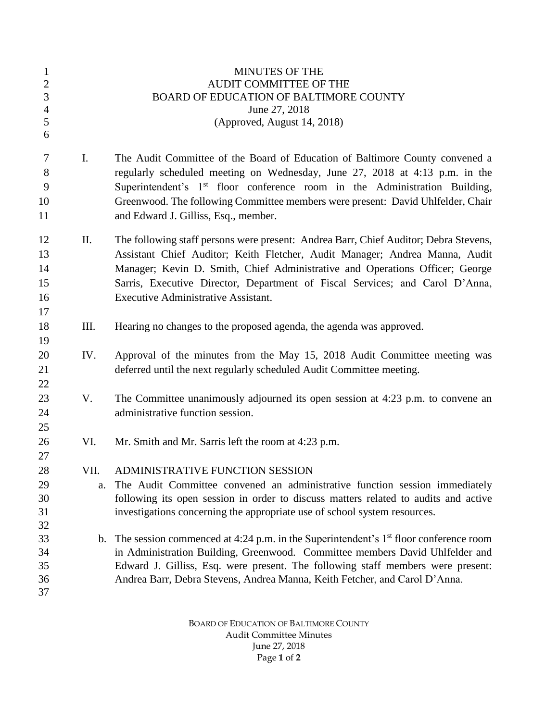| $\mathbf{1}$<br>$\sqrt{2}$<br>3<br>$\overline{4}$<br>5<br>6 |                | <b>MINUTES OF THE</b><br><b>AUDIT COMMITTEE OF THE</b><br>BOARD OF EDUCATION OF BALTIMORE COUNTY<br>June 27, 2018<br>(Approved, August 14, 2018)                                                                                                                                                                                                                                 |
|-------------------------------------------------------------|----------------|----------------------------------------------------------------------------------------------------------------------------------------------------------------------------------------------------------------------------------------------------------------------------------------------------------------------------------------------------------------------------------|
| $\tau$<br>8<br>9<br>10<br>11                                | I.             | The Audit Committee of the Board of Education of Baltimore County convened a<br>regularly scheduled meeting on Wednesday, June 27, 2018 at 4:13 p.m. in the<br>Superintendent's 1 <sup>st</sup> floor conference room in the Administration Building,<br>Greenwood. The following Committee members were present: David Uhlfelder, Chair<br>and Edward J. Gilliss, Esq., member. |
| 12<br>13<br>14<br>15<br>16<br>17                            | Π.             | The following staff persons were present: Andrea Barr, Chief Auditor; Debra Stevens,<br>Assistant Chief Auditor; Keith Fletcher, Audit Manager; Andrea Manna, Audit<br>Manager; Kevin D. Smith, Chief Administrative and Operations Officer; George<br>Sarris, Executive Director, Department of Fiscal Services; and Carol D'Anna,<br>Executive Administrative Assistant.       |
| 18<br>19                                                    | III.           | Hearing no changes to the proposed agenda, the agenda was approved.                                                                                                                                                                                                                                                                                                              |
| 20<br>21<br>22                                              | IV.            | Approval of the minutes from the May 15, 2018 Audit Committee meeting was<br>deferred until the next regularly scheduled Audit Committee meeting.                                                                                                                                                                                                                                |
| 23<br>24<br>25                                              | V.             | The Committee unanimously adjourned its open session at 4:23 p.m. to convene an<br>administrative function session.                                                                                                                                                                                                                                                              |
| 26<br>27                                                    | VI.            | Mr. Smith and Mr. Sarris left the room at 4:23 p.m.                                                                                                                                                                                                                                                                                                                              |
| 28<br>29<br>30<br>31<br>32                                  | VII.<br>a.     | ADMINISTRATIVE FUNCTION SESSION<br>The Audit Committee convened an administrative function session immediately<br>following its open session in order to discuss matters related to audits and active<br>investigations concerning the appropriate use of school system resources.                                                                                               |
| 33<br>34<br>35<br>36<br>37                                  | $\mathbf{b}$ . | The session commenced at 4:24 p.m. in the Superintendent's $1st$ floor conference room<br>in Administration Building, Greenwood. Committee members David Uhlfelder and<br>Edward J. Gilliss, Esq. were present. The following staff members were present:<br>Andrea Barr, Debra Stevens, Andrea Manna, Keith Fetcher, and Carol D'Anna.                                          |
|                                                             |                |                                                                                                                                                                                                                                                                                                                                                                                  |

BOARD OF EDUCATION OF BALTIMORE COUNTY Audit Committee Minutes June 27, 2018 Page **1** of **2**